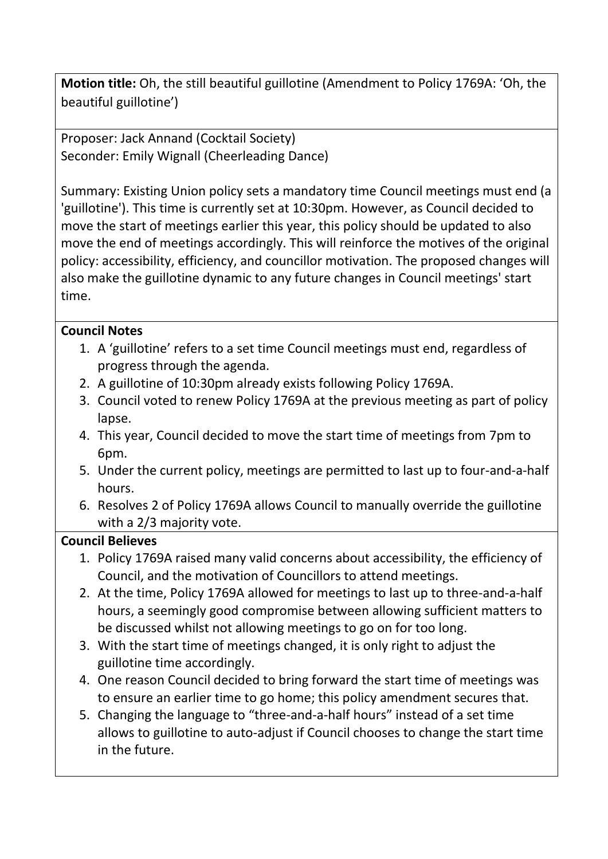**Motion title:** Oh, the still beautiful guillotine (Amendment to Policy 1769A: 'Oh, the beautiful guillotine')

Proposer: Jack Annand (Cocktail Society) Seconder: Emily Wignall (Cheerleading Dance)

Summary: Existing Union policy sets a mandatory time Council meetings must end (a 'guillotine'). This time is currently set at 10:30pm. However, as Council decided to move the start of meetings earlier this year, this policy should be updated to also move the end of meetings accordingly. This will reinforce the motives of the original policy: accessibility, efficiency, and councillor motivation. The proposed changes will also make the guillotine dynamic to any future changes in Council meetings' start time.

## **Council Notes**

- 1. A 'guillotine' refers to a set time Council meetings must end, regardless of progress through the agenda.
- 2. A guillotine of 10:30pm already exists following Policy 1769A.
- 3. Council voted to renew Policy 1769A at the previous meeting as part of policy lapse.
- 4. This year, Council decided to move the start time of meetings from 7pm to 6pm.
- 5. Under the current policy, meetings are permitted to last up to four-and-a-half hours.
- 6. Resolves 2 of Policy 1769A allows Council to manually override the guillotine with a 2/3 majority vote.

## **Council Believes**

- 1. Policy 1769A raised many valid concerns about accessibility, the efficiency of Council, and the motivation of Councillors to attend meetings.
- 2. At the time, Policy 1769A allowed for meetings to last up to three-and-a-half hours, a seemingly good compromise between allowing sufficient matters to be discussed whilst not allowing meetings to go on for too long.
- 3. With the start time of meetings changed, it is only right to adjust the guillotine time accordingly.
- 4. One reason Council decided to bring forward the start time of meetings was to ensure an earlier time to go home; this policy amendment secures that.
- 5. Changing the language to "three-and-a-half hours" instead of a set time allows to guillotine to auto-adjust if Council chooses to change the start time in the future.